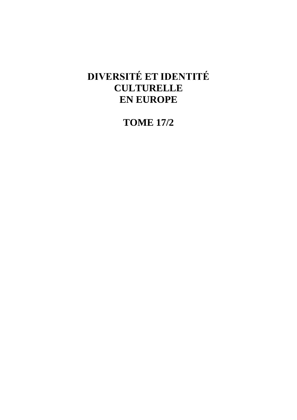# **DIVERSITÉ ET IDENTITÉ CULTURELLE EN EUROPE**

**TOME 17/2**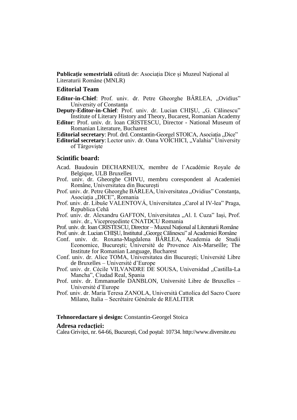**Publicatie semestrială** editată de: Asociatia Dice și Muzeul National al Literaturii Române (MNLR)

### **Editorial Team**

**Editor-in-Chief**: Prof. univ. dr. Petre Gheorghe BÂRLEA, "Ovidius" University of Constanța

- **Deputy-Editor-in-Chief:** Prof. univ. dr. Lucian CHIŞU, "G. Călinescu" Institute of Literary History and Theory, Bucarest, Romanian Academy
- **Editor**: Prof. univ. dr. Ioan CRISTESCU, Director National Museum of Romanian Literature, Bucharest

**Editorial secretary**: Prof. drd. Constantin-Georgel STOICA, Asociația "Dice"

**Editorial secretary**: Lector univ. dr. Oana VOICHICI, "Valahia" University of Târgoviște

#### **Scintific board:**

- Acad. Baudouin DECHARNEUX, membre de l`Académie Royale de Belgique, ULB Bruxelles
- Prof. univ. dr. Gheorghe CHIVU, membru corespondent al Academiei Române, Universitatea din București
- Prof. univ. dr. Petre Gheorghe BÂRLEA, Universitatea "Ovidius" Constanța, Asociația "DICE", Romania
- Prof. univ. dr. Libuše VALENTOVÁ, Universitatea "Carol al IV-lea" Praga, Republica Cehă
- Prof. univ. dr. Alexandru GAFTON, Universitatea "Al. I. Cuza" Iași, Prof. univ. dr., Vicepreședinte CNATDCU Romania

Prof. univ. dr. Ioan CRISTESCU, Director – Muzeul Național al Literaturii Române

Prof. univ. dr. Lucian CHISU, Institutul "George Călinescu" al Academiei Române

- Conf. univ. dr. Roxana-Magdalena BÂRLEA, Academia de Studii Economice, Bucureşti; Université de Provence Aix-Marseille; The Institute for Romanian Language, Bucharest
- Conf. univ. dr. Alice TOMA, Universitatea din Bucureşti; Université Libre de Bruxelles – Université d'Europe
- Prof. univ. dr. Cécile VILVANDRE DE SOUSA, Universidad "Castilla-La Mancha", Ciudad Real, Spania
- Prof. univ. dr. Emmanuelle DANBLON, Université Libre de Bruxelles Université d'Europe
- Prof. univ. dr. Maria Teresa ZANOLA, Università Cattolica del Sacro Cuore Milano, Italia – Secrétaire Générale de REALITER

### **Tehnoredactare şi design:** Constantin-Georgel Stoica

#### **Adresa redacţiei:**

Calea Griviței, nr. 64-66, Bucureşti, Cod poștal: 10734. http://www.diversite.eu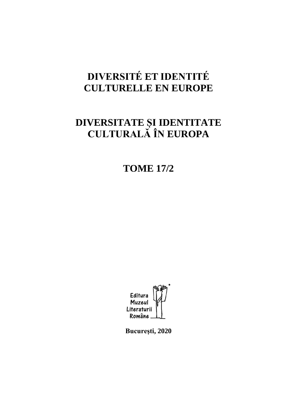# **DIVERSITÉ ET IDENTITÉ CULTURELLE EN EUROPE**

# **DIVERSITATE ȘI IDENTITATE CULTURALĂ ÎN EUROPA**

**TOME 17/2**



**Bucureşti, 2020**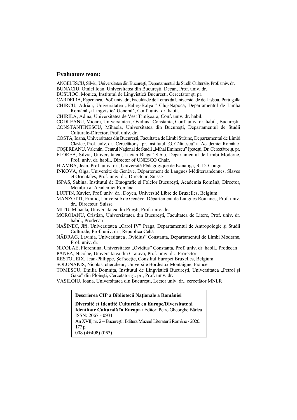#### **Evaluators team:**

ANGELESCU, Silviu, Universitatea din Bucureşti, Departamentul de Studii Culturale, Prof. univ. dr.

BUNACIU, Otniel Ioan, Universitatea din Bucureşti, Decan, Prof. univ. dr.

BUSUIOC, Monica, Institutul de Lingvistică Bucureşti, Cercetător șt. pr.

CARDEIRA, Esperança, Prof. univ. dr., Faculdade de Letras da Universidade de Lisboa, Portugalia CHIRCU, Adrian, Universitatea "Babeș-Bolyai" Cluj-Napoca, Departamentul de Limba Română şi Lingvistică Generală, Conf. univ. dr. habil.

CHIRILĂ, Adina, Universitatea de Vest Timișoara, Conf. univ. dr. habil.

CODLEANU, Mioara, Universitatea "Ovidius" Constanța, Conf. univ. dr. habil., București

CONSTANTINESCU, Mihaela, Universitatea din Bucureşti, Departamentul de Studii Culturale-Director, Prof. univ. dr.

COSTA, Ioana, Universitatea din Bucureşti, Facultatea de Limbi Străine, Departamentul de Limbi Clasice, Prof. univ. dr., Cercetător șt. pr. Institutul "G. Călinescu" al Academiei Române

COȘEREANU, Valentin, Centrul Național de Studii "Mihai Eminescu" Ipotești, Dr. Cercetător șt. pr.

FLOREA, Silvia, Universitatea "Lucian Blaga" Sibiu, Departamentul de Limbi Moderne, Prof. univ. dr. habil., Director of UNESCO Chair.

HIAMBA, Jean, Prof. univ. dr., Université Pédagogique de Kananga, R. D. Congo

INKOVA, Olga, Université de Genève, Département de Langues Méditerranéennes, Slaves et Orientales, Prof. univ. dr., Directeur, Suisse

ISPAS, Sabina, Institutul de Etnografie şi Folclor Bucureşti, Academia Română, Director, Membru al Academiei Române

LUFFIN, Xavier, Prof. univ. dr., Doyen, Université Libre de Bruxelles, Belgium

MANZOTTI, Emilio, Université de Genève, Département de Langues Romanes, Prof. univ. dr., Directeur, Suisse

MITU, Mihaela, Universitatea din Piteşti, Prof. univ. dr.

MOROIANU, Cristian, Universiatatea din Bucureşti, Facultatea de Litere, Prof. univ. dr. habil., Prodecan

NAŠINEC, Jiři, Universitatea "Carol IV" Praga, Departamentul de Antropologie și Studii Culturale, Prof. univ. dr., Republica Cehă

NĂDRAG, Lavinia, Universitatea "Ovidius" Constanţa, Departamentul de Limbi Moderne, Prof. univ. dr.

NICOLAE, Florentina, Universitatea "Ovidius" Constanța, Prof. univ. dr. habil., Prodecan PANEA, Nicolae, Universitatea din Craiova, Prof. univ. dr., Prorector

RESTOUEIX, Jean-Philippe, Sef sectie, Consiliul Europei Bruxelles, Belgium

SOLONAKIS, Nicolas, chercheur, Université Bordeaux Montaigne, France

TOMESCU, Emilia Domnița, Institutul de Lingvistică București, Universitatea "Petrol și Gaze" din Ploieşti, Cercetător șt. pr., Prof. univ. dr.

VASILOIU, Ioana, Universitatea din Bucureşti, Lector univ. dr., cercetător MNLR

#### **Descrierea CIP a Bibliotecii Naţionale a României**

**Diversité et Identité Culturelle en Europe/Diversitate şi Identitate Culturală în Europa** / Editor: Petre Gheorghe Bârlea

ISSN: 2067 - 0931

An XVII, nr. 2 –Bucureşti: Editura Muzeul Literaturii Române - 2020. 177 p.

008 (4+498) (063)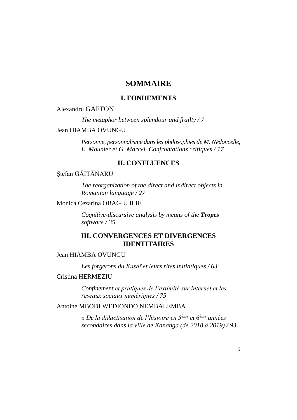### **SOMMAIRE**

### **I. FONDEMENTS**

### Alexandru GAFTON

*The metaphor between splendour and frailty / 7*

### Jean HIAMBA OVUNGU

*Personne, personnalisme dans les philosophies de M. Nédoncelle, E. Mounier et G. Marcel. Confrontations critiques / 17*

### **II. CONFLUENCES**

### Stefan GĂITĂNARU

*The reorganization of the direct and indirect objects in Romanian language / 27*

Monica Cezarina OBAGIU ILIE

*Cognitive-discursive analysis by means of the Tropes software / 35*

### **III. CONVERGENCES ET DIVERGENCES IDENTITAIRES**

Jean HIAMBA OVUNGU

*Les forgerons du Kasaï et leurs rites initiatiques / 63*

### Cristina HERMEZIU

*Confinement et pratiques de l'extimité sur internet et les réseaux sociaux numériques / 75*

Antoine MBODI WEDIONDO NEMBALEMBA

*« De la didactisation de l'histoire en 5ème et 6ème années secondaires dans la ville de Kananga (de 2018 à 2019) / 93*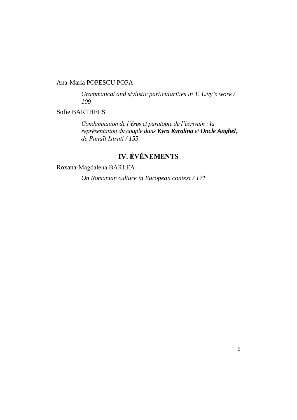### Ana-Maria POPESCU POPA

*Grammatical and stylistic particularities in T. Livy's work / 109*

### Sofie BARTHELS

*Condamnation de l'éros et paratopie de l'écrivain : la représentation du couple dans Kyra Kyralina et Oncle Anghel, de Panaït Istrati / 155*

# **IV. ÉVÉNEMENTS**

Roxana-Magdalena BÂRLEA

*On Romanian culture in European context / 171*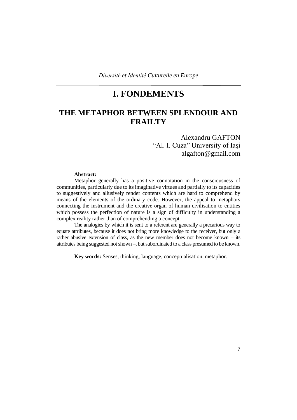# **I. FONDEMENTS**

### **THE METAPHOR BETWEEN SPLENDOUR AND FRAILTY**

### Alexandru GAFTON "Al. I. Cuza" University of Iași algafton@gmail.com

### **Abstract:**

Metaphor generally has a positive connotation in the consciousness of communities, particularly due to its imaginative virtues and partially to its capacities to suggestively and allusively render contents which are hard to comprehend by means of the elements of the ordinary code. However, the appeal to metaphors connecting the instrument and the creative organ of human civilisation to entities which possess the perfection of nature is a sign of difficulty in understanding a complex reality rather than of comprehending a concept.

The analogies by which it is sent to a referent are generally a precarious way to equate attributes, because it does not bring more knowledge to the receiver, but only a rather abusive extension of class, as the new member does not become known – its attributes being suggested not shown –, but subordinated to a class presumed to be known.

**Key words:** Senses, thinking, language, conceptualisation, metaphor.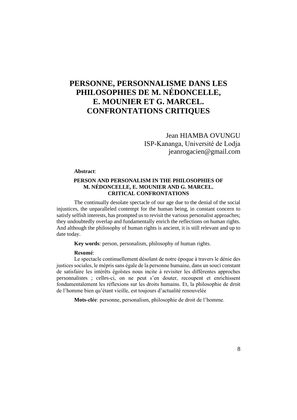# **PERSONNE, PERSONNALISME DANS LES PHILOSOPHIES DE M. NÉDONCELLE, E. MOUNIER ET G. MARCEL. CONFRONTATIONS CRITIQUES**

Jean HIAMBA OVUNGU ISP-Kananga, Université de Lodja jeanrogacien@gmail.com

#### **Abstract**:

#### **PERSON AND PERSONALISM IN THE PHILOSOPHIES OF M. NÉDONCELLE, E. MOUNIER AND G. MARCEL. CRITICAL CONFRONTATIONS**

The continually desolate spectacle of our age due to the denial of the social injustices, the unparalleled contempt for the human being, in constant concern to satisfy selfish interests, has prompted us to revisit the various personalist approaches; they undoubtedly overlap and fundamentally enrich the reflections on human rights. And although the philosophy of human rights is ancient, it is still relevant and up to date today.

**Key words**: person, personalism, philosophy of human rights.

#### **Resumé**:

Le spectacle continuellement désolant de notre époque à travers le dénie des justices sociales, le mépris sans égale de la personne humaine, dans un souci constant de satisfaire les intérêts égoïstes nous incite à revisiter les différentes approches personnalistes ; celles-ci, on ne peut s'en douter, recoupent et enrichissent fondamentalement les réflexions sur les droits humains. Et, la philosophie de droit de l'homme bien qu'étant vieille, est toujours d'actualité renouvelée

**Mots-clée**: personne, personalism, philosophie de droit de l'homme.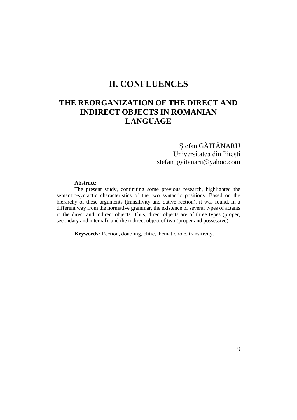### **II. CONFLUENCES**

### **THE REORGANIZATION OF THE DIRECT AND INDIRECT OBJECTS IN ROMANIAN LANGUAGE**

### Ștefan GĂITĂNARU Universitatea din Pitești stefan\_gaitanaru@yahoo.com

#### **Abstract:**

The present study, continuing some previous research, highlighted the semantic-syntactic characteristics of the two syntactic positions. Based on the hierarchy of these arguments (transitivity and dative rection), it was found, in a different way from the normative grammar, the existence of several types of actants in the direct and indirect objects. Thus, direct objects are of three types (proper, secondary and internal), and the indirect object of two (proper and possessive).

**Keywords:** Rection, doubling, clitic, thematic role, transitivity.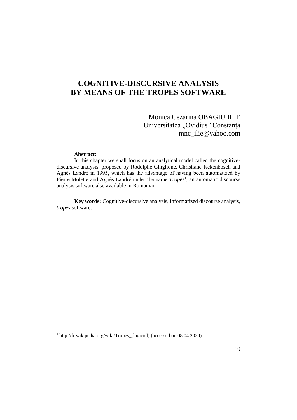## **COGNITIVE-DISCURSIVE ANALYSIS BY MEANS OF THE TROPES SOFTWARE**

Monica Cezarina OBAGIU ILIE Universitatea "Ovidius" Constanța mnc\_ilie@yahoo.com

#### **Abstract:**

In this chapter we shall focus on an analytical model called the cognitivediscursive analysis, proposed by Rodolphe Ghiglione, Christiane Kekenbosch and Agnès Landré in 1995, which has the advantage of having been automatized by Pierre Molette and Agnès Landré under the name *Tropes*<sup>1</sup> , an automatic discourse analysis software also available in Romanian.

**Key words:** Cognitive-discursive analysis, informatized discourse analysis, *tropes* software.

<sup>1</sup> http://fr.wikipedia.org/wiki/Tropes\_(logiciel) (accessed on 08.04.2020)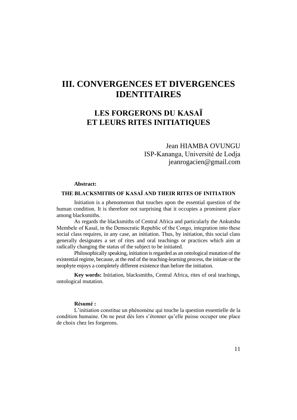# **III. CONVERGENCES ET DIVERGENCES IDENTITAIRES**

## **LES FORGERONS DU KASAÏ ET LEURS RITES INITIATIQUES**

Jean HIAMBA OVUNGU ISP-Kananga, Université de Lodja jeanrogacien@gmail.com

### **Abstract:**

### **THE BLACKSMITHS OF KASAÏ AND THEIR RITES OF INITIATION**

Initiation is a phenomenon that touches upon the essential question of the human condition. It is therefore not surprising that it occupies a prominent place among blacksmiths.

As regards the blacksmiths of Central Africa and particularly the Ankutshu Membele of Kasaï, in the Democratic Republic of the Congo, integration into these social class requires, in any case, an initiation. Thus, by initiation, this social class generally designates a set of rites and oral teachings or practices which aim at radically changing the status of the subject to be initiated.

Philosophically speaking, initiation is regarded as an ontological mutation of the existential regime, because, at the end of the teaching-learning process, the initiate or the neophyte enjoys a completely different existence than before the initiation.

**Key words:** Initiation, blacksmiths, Central Africa, rites of oral teachings, ontological mutation.

#### **Résumé :**

L'initiation constitue un phénomène qui touche la question essentielle de la condition humaine. On ne peut dès lors s'étonner qu'elle puisse occuper une place de choix chez les forgerons.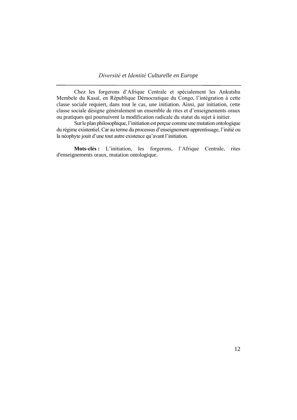*Diversité et Identité Culturelle en Europe*

Chez les forgerons d'Afrique Centrale et spécialement les Ankutshu Membele du Kasaï, en République Démocratique du Congo, l'intégration à cette classe sociale requiert, dans tout le cas, une initiation. Ainsi, par initiation, cette classe sociale désigne généralement un ensemble de rites et d'enseignements oraux ou pratiques qui poursuivent la modification radicale du statut du sujet à initier.

Sur le plan philosophique, l'initiation est perçue comme une mutation ontologique du régime existentiel. Car au terme du processus d'enseignement-apprentissage, l'initié ou la néophyte jouit d'une tout autre existence qu'avant l'initiation.

**Mots-clés :** L'initiation, les forgerons, l'Afrique Centrale, rites d'enseignements oraux, mutation ontologique.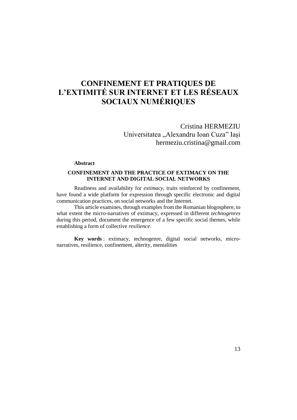# **CONFINEMENT ET PRATIQUES DE L'EXTIMITÉ SUR INTERNET ET LES RÉSEAUX SOCIAUX NUMÉRIQUES**

Cristina HERMEZIU Universitatea "Alexandru Ioan Cuza" Iași hermeziu.cristina@gmail.com

#### **Abstract**

### **CONFINEMENT AND THE PRACTICE OF EXTIMACY ON THE INTERNET AND DIGITAL SOCIAL NETWORKS**

Readiness and availability for *extimacy*, traits reinforced by confinement, have found a wide platform for expression through specific electronic and digital communication practices, on social networks and the Internet.

This article examines, through examples from the Romanian blogosphere, to what extent the micro-narratives of extimacy, expressed in different *technogenres* during this period, document the emergence of a few specific social themes, while establishing a form of collective *resilience*.

**Key words** : extimacy, technogenre, digital social networks, micronarratives, resilience, confinement, alterity, mentalities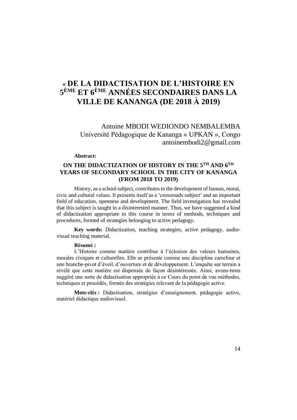## **« DE LA DIDACTISATION DE L'HISTOIRE EN 5 ÈME ET 6ÈME ANNÉES SECONDAIRES DANS LA VILLE DE KANANGA (DE 2018 À 2019)**

Antoine MBODI WEDIONDO NEMBALEMBA Université Pédagogique de Kananga « UPKAN », Congo antoinembodi2@gmail.com

### **Abstract:**

### **ON THE DIDACTIZATION OF HISTORY IN THE 5TH AND 6TH YEARS OF SECONDARY SCHOOL IN THE CITY OF KANANGA (FROM 2018 TO 2019)**

History, as a school subject, contributes to the development of human, moral, civic and cultural values. It presents itself as a 'crossroads subject' and an important field of education, openness and development. The field investigation has revealed that this subject is taught in a disinterested manner. Thus, we have suggested a kind of didactization appropriate to this course in terms of methods, techniques and procedures, formed of strategies belonging to active pedagogy.

**Key words:** Didactization, teaching strategies, active pedagogy, audiovisual teaching material.

#### **Résumé :**

L'Histoire comme matière contribue à l'éclosion des valeurs humaines, morales civiques et culturelles. Elle se présente comme une discipline carrefour et une branche-pivot d'éveil, d'ouverture et de développement. L'enquête sur terrain a révélé que cette matière est dispensée de façon désintéressée. Ainsi, avons-nous suggéré une sorte de didactisation appropriée à ce Cours du point de vue méthodes, techniques et procédés, formés des stratégies relevant de la pédagogie active.

**Mots-clés :** Didactisation, stratégies d'enseignement, pédagogie active, matériel didactique audiovisuel.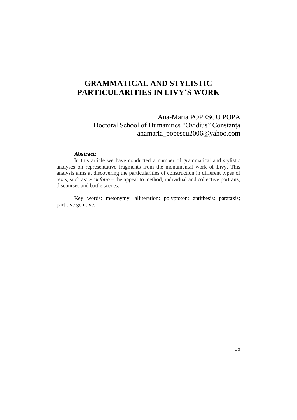## **GRAMMATICAL AND STYLISTIC PARTICULARITIES IN LIVY'S WORK**

### Ana-Maria POPESCU POPA Doctoral School of Humanities "Ovidius" Constanța anamaria\_popescu2006@yahoo.com

#### **Abstract**:

In this article we have conducted a number of grammatical and stylistic analyses on representative fragments from the monumental work of Livy. This analysis aims at discovering the particularities of construction in different types of texts, such as: *Praefatio* – the appeal to method, individual and collective portraits, discourses and battle scenes.

Key words: metonymy; alliteration; polyptoton; antithesis; parataxis; partitive genitive.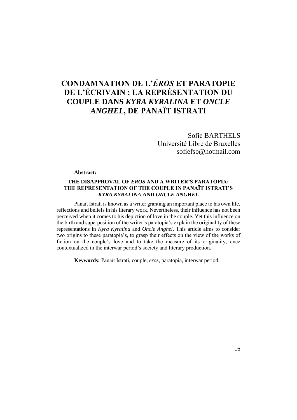# **CONDAMNATION DE L'***ÉROS* **ET PARATOPIE DE L'ÉCRIVAIN : LA REPRÉSENTATION DU COUPLE DANS** *KYRA KYRALINA* **ET** *ONCLE ANGHEL***, DE PANAÏT ISTRATI**

Sofie BARTHELS Université Libre de Bruxelles sofiefsb@hotmail.com

#### **Abstract:**

.

### **THE DISAPPROVAL OF** *EROS* **AND A WRITER'S PARATOPIA: THE REPRESENTATION OF THE COUPLE IN PANAÏT ISTRATI'S**  *KYRA KYRALINA* **AND** *ONCLE ANGHEL*

Panaït Istrati is known as a writer granting an important place to his own life, reflections and beliefs in his literary work. Nevertheless, their influence has not been perceived when it comes to his depiction of love in the couple. Yet this influence on the birth and superposition of the writer's paratopia's explain the originality of these representations in *Kyra Kyralina* and *Oncle Anghel*. This article aims to consider two origins to these paratopia's, to grasp their effects on the view of the works of fiction on the couple's love and to take the measure of its originality, once contextualized in the interwar period's society and literary production.

**Keywords:** Panaït Istrati, couple, *eros*, paratopia, interwar period.